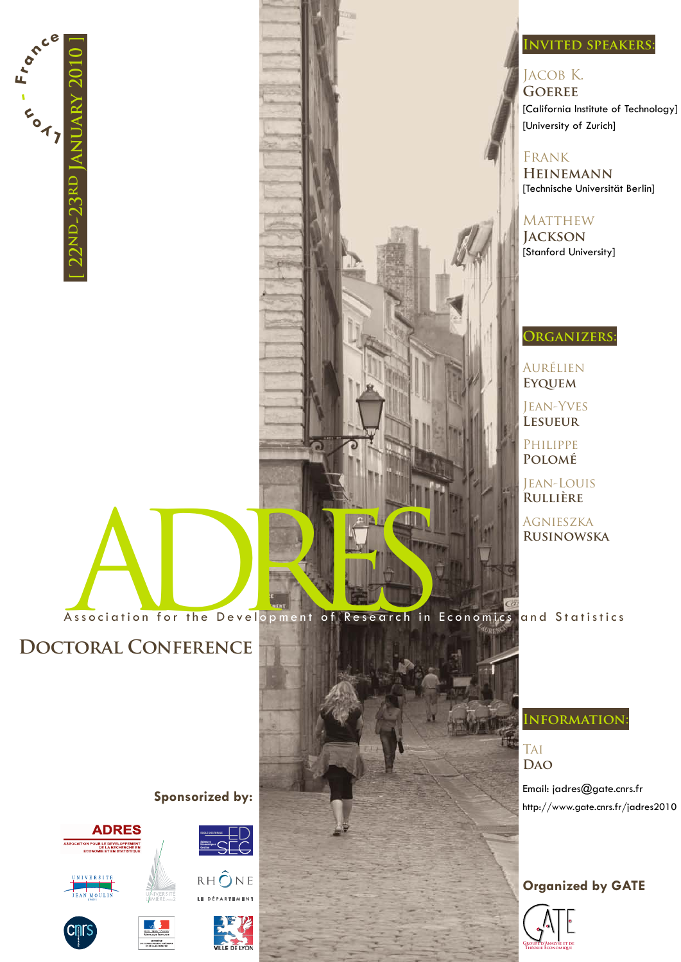

### **Invited speakers:**

#### Jacob K. **Goeree**

[California Institute of Technology] [University of Zurich]

Frank

**Heinemann** [Technische Universität Berlin]

**MATTHEW Jackson** [Stanford University]

## **Organizers:**

Aurélien **Eyquem**

Jean-Yves **Lesueur**

Philippe **Polomé**

Jean-Louis **Rullière**

Agnieszka **Rusinowska**

Association for the Development of Research in Economics and Statistics

# **Doctoral Conference**





**Sponsorized by:**













**Information:**

**TAI Dao**

Email: jadres@gate.cnrs.fr http://www.gate.cnrs.fr/jadres2010

### **Organized by GATE**